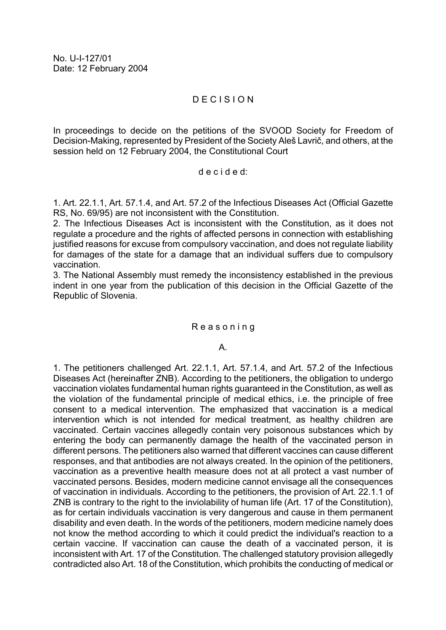# D E C I S I O N

In proceedings to decide on the petitions of the SVOOD Society for Freedom of Decision-Making, represented by President of the Society Aleš Lavrič, and others, at the session held on 12 February 2004, the Constitutional Court

#### d e c i d e d:

1. Art. 22.1.1, Art. 57.1.4, and Art. 57.2 of the Infectious Diseases Act (Official Gazette RS, No. 69/95) are not inconsistent with the Constitution.

2. The Infectious Diseases Act is inconsistent with the Constitution, as it does not regulate a procedure and the rights of affected persons in connection with establishing justified reasons for excuse from compulsory vaccination, and does not regulate liability for damages of the state for a damage that an individual suffers due to compulsory vaccination.

3. The National Assembly must remedy the inconsistency established in the previous indent in one year from the publication of this decision in the Official Gazette of the Republic of Slovenia.

### R e a s o n i n g

### A.

1. The petitioners challenged Art. 22.1.1, Art. 57.1.4, and Art. 57.2 of the Infectious Diseases Act (hereinafter ZNB). According to the petitioners, the obligation to undergo vaccination violates fundamental human rights guaranteed in the Constitution, as well as the violation of the fundamental principle of medical ethics, i.e. the principle of free consent to a medical intervention. The emphasized that vaccination is a medical intervention which is not intended for medical treatment, as healthy children are vaccinated. Certain vaccines allegedly contain very poisonous substances which by entering the body can permanently damage the health of the vaccinated person in different persons. The petitioners also warned that different vaccines can cause different responses, and that antibodies are not always created. In the opinion of the petitioners, vaccination as a preventive health measure does not at all protect a vast number of vaccinated persons. Besides, modern medicine cannot envisage all the consequences of vaccination in individuals. According to the petitioners, the provision of Art. 22.1.1 of ZNB is contrary to the right to the inviolability of human life (Art. 17 of the Constitution), as for certain individuals vaccination is very dangerous and cause in them permanent disability and even death. In the words of the petitioners, modern medicine namely does not know the method according to which it could predict the individual's reaction to a certain vaccine. If vaccination can cause the death of a vaccinated person, it is inconsistent with Art. 17 of the Constitution. The challenged statutory provision allegedly contradicted also Art. 18 of the Constitution, which prohibits the conducting of medical or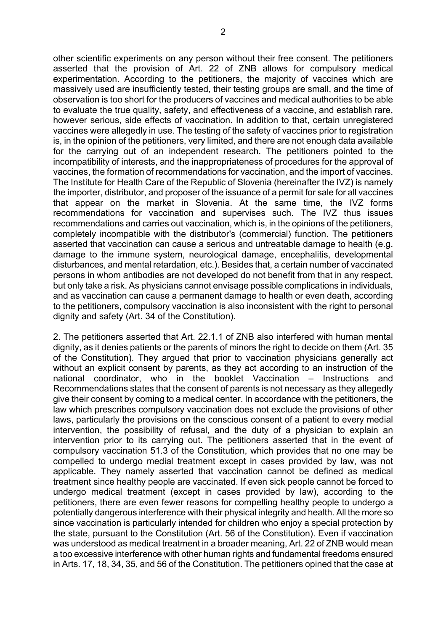other scientific experiments on any person without their free consent. The petitioners asserted that the provision of Art. 22 of ZNB allows for compulsory medical experimentation. According to the petitioners, the majority of vaccines which are massively used are insufficiently tested, their testing groups are small, and the time of observation is too short for the producers of vaccines and medical authorities to be able to evaluate the true quality, safety, and effectiveness of a vaccine, and establish rare, however serious, side effects of vaccination. In addition to that, certain unregistered vaccines were allegedly in use. The testing of the safety of vaccines prior to registration is, in the opinion of the petitioners, very limited, and there are not enough data available for the carrying out of an independent research. The petitioners pointed to the incompatibility of interests, and the inappropriateness of procedures for the approval of vaccines, the formation of recommendations for vaccination, and the import of vaccines. The Institute for Health Care of the Republic of Slovenia (hereinafter the IVZ) is namely the importer, distributor, and proposer of the issuance of a permit for sale for all vaccines that appear on the market in Slovenia. At the same time, the IVZ forms recommendations for vaccination and supervises such. The IVZ thus issues recommendations and carries out vaccination, which is, in the opinions of the petitioners, completely incompatible with the distributor's (commercial) function. The petitioners asserted that vaccination can cause a serious and untreatable damage to health (e.g. damage to the immune system, neurological damage, encephalitis, developmental disturbances, and mental retardation, etc.). Besides that, a certain number of vaccinated persons in whom antibodies are not developed do not benefit from that in any respect, but only take a risk. As physicians cannot envisage possible complications in individuals, and as vaccination can cause a permanent damage to health or even death, according to the petitioners, compulsory vaccination is also inconsistent with the right to personal dignity and safety (Art. 34 of the Constitution).

2. The petitioners asserted that Art. 22.1.1 of ZNB also interfered with human mental dignity, as it denies patients or the parents of minors the right to decide on them (Art. 35 of the Constitution). They argued that prior to vaccination physicians generally act without an explicit consent by parents, as they act according to an instruction of the national coordinator, who in the booklet Vaccination – Instructions and Recommendations states that the consent of parents is not necessary as they allegedly give their consent by coming to a medical center. In accordance with the petitioners, the law which prescribes compulsory vaccination does not exclude the provisions of other laws, particularly the provisions on the conscious consent of a patient to every medial intervention, the possibility of refusal, and the duty of a physician to explain an intervention prior to its carrying out. The petitioners asserted that in the event of compulsory vaccination 51.3 of the Constitution, which provides that no one may be compelled to undergo medial treatment except in cases provided by law, was not applicable. They namely asserted that vaccination cannot be defined as medical treatment since healthy people are vaccinated. If even sick people cannot be forced to undergo medical treatment (except in cases provided by law), according to the petitioners, there are even fewer reasons for compelling healthy people to undergo a potentially dangerous interference with their physical integrity and health. All the more so since vaccination is particularly intended for children who enjoy a special protection by the state, pursuant to the Constitution (Art. 56 of the Constitution). Even if vaccination was understood as medical treatment in a broader meaning, Art. 22 of ZNB would mean a too excessive interference with other human rights and fundamental freedoms ensured in Arts. 17, 18, 34, 35, and 56 of the Constitution. The petitioners opined that the case at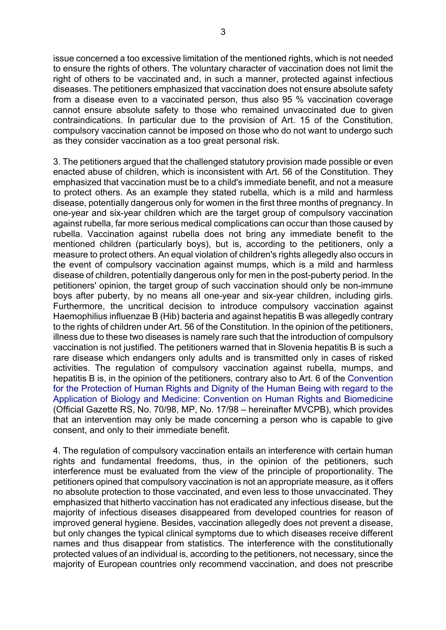3

issue concerned a too excessive limitation of the mentioned rights, which is not needed to ensure the rights of others. The voluntary character of vaccination does not limit the right of others to be vaccinated and, in such a manner, protected against infectious diseases. The petitioners emphasized that vaccination does not ensure absolute safety from a disease even to a vaccinated person, thus also 95 % vaccination coverage cannot ensure absolute safety to those who remained unvaccinated due to given contraindications. In particular due to the provision of Art. 15 of the Constitution, compulsory vaccination cannot be imposed on those who do not want to undergo such as they consider vaccination as a too great personal risk.

3. The petitioners argued that the challenged statutory provision made possible or even enacted abuse of children, which is inconsistent with Art. 56 of the Constitution. They emphasized that vaccination must be to a child's immediate benefit, and not a measure to protect others. As an example they stated rubella, which is a mild and harmless disease, potentially dangerous only for women in the first three months of pregnancy. In one-year and six-year children which are the target group of compulsory vaccination against rubella, far more serious medical complications can occur than those caused by rubella. Vaccination against rubella does not bring any immediate benefit to the mentioned children (particularly boys), but is, according to the petitioners, only a measure to protect others. An equal violation of children's rights allegedly also occurs in the event of compulsory vaccination against mumps, which is a mild and harmless disease of children, potentially dangerous only for men in the post-puberty period. In the petitioners' opinion, the target group of such vaccination should only be non-immune boys after puberty, by no means all one-year and six-year children, including girls. Furthermore, the uncritical decision to introduce compulsory vaccination against Haemophilius influenzae B (Hib) bacteria and against hepatitis B was allegedly contrary to the rights of children under Art. 56 of the Constitution. In the opinion of the petitioners, illness due to these two diseases is namely rare such that the introduction of compulsory vaccination is not justified. The petitioners warned that in Slovenia hepatitis B is such a rare disease which endangers only adults and is transmitted only in cases of risked activities. The regulation of compulsory vaccination against rubella, mumps, and hepatitis B is, in the opinion of the petitioners, contrary also to Art. 6 of the Convention for the Protection of Human Rights and Dignity of the Human Being with regard to the Application of Biology and Medicine: Convention on Human Rights and Biomedicine (Official Gazette RS, No. 70/98, MP, No. 17/98 – hereinafter MVCPB), which provides that an intervention may only be made concerning a person who is capable to give consent, and only to their immediate benefit.

4. The regulation of compulsory vaccination entails an interference with certain human rights and fundamental freedoms, thus, in the opinion of the petitioners, such interference must be evaluated from the view of the principle of proportionality. The petitioners opined that compulsory vaccination is not an appropriate measure, as it offers no absolute protection to those vaccinated, and even less to those unvaccinated. They emphasized that hitherto vaccination has not eradicated any infectious disease, but the majority of infectious diseases disappeared from developed countries for reason of improved general hygiene. Besides, vaccination allegedly does not prevent a disease, but only changes the typical clinical symptoms due to which diseases receive different names and thus disappear from statistics. The interference with the constitutionally protected values of an individual is, according to the petitioners, not necessary, since the majority of European countries only recommend vaccination, and does not prescribe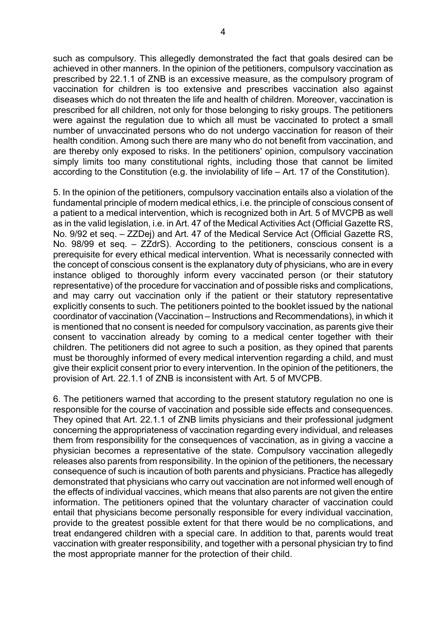such as compulsory. This allegedly demonstrated the fact that goals desired can be achieved in other manners. In the opinion of the petitioners, compulsory vaccination as prescribed by 22.1.1 of ZNB is an excessive measure, as the compulsory program of vaccination for children is too extensive and prescribes vaccination also against diseases which do not threaten the life and health of children. Moreover, vaccination is prescribed for all children, not only for those belonging to risky groups. The petitioners were against the regulation due to which all must be vaccinated to protect a small number of unvaccinated persons who do not undergo vaccination for reason of their health condition. Among such there are many who do not benefit from vaccination, and are thereby only exposed to risks. In the petitioners' opinion, compulsory vaccination simply limits too many constitutional rights, including those that cannot be limited according to the Constitution (e.g. the inviolability of life – Art. 17 of the Constitution).

5. In the opinion of the petitioners, compulsory vaccination entails also a violation of the fundamental principle of modern medical ethics, i.e. the principle of conscious consent of a patient to a medical intervention, which is recognized both in Art. 5 of MVCPB as well as in the valid legislation, i.e. in Art. 47 of the Medical Activities Act (Official Gazette RS, No. 9/92 et seq. – ZZDej) and Art. 47 of the Medical Service Act (Official Gazette RS, No. 98/99 et seq. – ZZdrS). According to the petitioners, conscious consent is a prerequisite for every ethical medical intervention. What is necessarily connected with the concept of conscious consent is the explanatory duty of physicians, who are in every instance obliged to thoroughly inform every vaccinated person (or their statutory representative) of the procedure for vaccination and of possible risks and complications, and may carry out vaccination only if the patient or their statutory representative explicitly consents to such. The petitioners pointed to the booklet issued by the national coordinator of vaccination (Vaccination – Instructions and Recommendations), in which it is mentioned that no consent is needed for compulsory vaccination, as parents give their consent to vaccination already by coming to a medical center together with their children. The petitioners did not agree to such a position, as they opined that parents must be thoroughly informed of every medical intervention regarding a child, and must give their explicit consent prior to every intervention. In the opinion of the petitioners, the provision of Art. 22.1.1 of ZNB is inconsistent with Art. 5 of MVCPB.

6. The petitioners warned that according to the present statutory regulation no one is responsible for the course of vaccination and possible side effects and consequences. They opined that Art. 22.1.1 of ZNB limits physicians and their professional judgment concerning the appropriateness of vaccination regarding every individual, and releases them from responsibility for the consequences of vaccination, as in giving a vaccine a physician becomes a representative of the state. Compulsory vaccination allegedly releases also parents from responsibility. In the opinion of the petitioners, the necessary consequence of such is incaution of both parents and physicians. Practice has allegedly demonstrated that physicians who carry out vaccination are not informed well enough of the effects of individual vaccines, which means that also parents are not given the entire information. The petitioners opined that the voluntary character of vaccination could entail that physicians become personally responsible for every individual vaccination, provide to the greatest possible extent for that there would be no complications, and treat endangered children with a special care. In addition to that, parents would treat vaccination with greater responsibility, and together with a personal physician try to find the most appropriate manner for the protection of their child.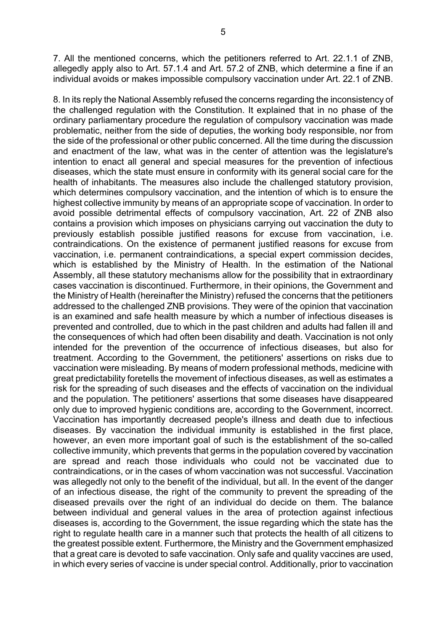7. All the mentioned concerns, which the petitioners referred to Art. 22.1.1 of ZNB, allegedly apply also to Art. 57.1.4 and Art. 57.2 of ZNB, which determine a fine if an individual avoids or makes impossible compulsory vaccination under Art. 22.1 of ZNB.

8. In its reply the National Assembly refused the concerns regarding the inconsistency of the challenged regulation with the Constitution. It explained that in no phase of the ordinary parliamentary procedure the regulation of compulsory vaccination was made problematic, neither from the side of deputies, the working body responsible, nor from the side of the professional or other public concerned. All the time during the discussion and enactment of the law, what was in the center of attention was the legislature's intention to enact all general and special measures for the prevention of infectious diseases, which the state must ensure in conformity with its general social care for the health of inhabitants. The measures also include the challenged statutory provision, which determines compulsory vaccination, and the intention of which is to ensure the highest collective immunity by means of an appropriate scope of vaccination. In order to avoid possible detrimental effects of compulsory vaccination, Art. 22 of ZNB also contains a provision which imposes on physicians carrying out vaccination the duty to previously establish possible justified reasons for excuse from vaccination, i.e. contraindications. On the existence of permanent justified reasons for excuse from vaccination, i.e. permanent contraindications, a special expert commission decides, which is established by the Ministry of Health. In the estimation of the National Assembly, all these statutory mechanisms allow for the possibility that in extraordinary cases vaccination is discontinued. Furthermore, in their opinions, the Government and the Ministry of Health (hereinafter the Ministry) refused the concerns that the petitioners addressed to the challenged ZNB provisions. They were of the opinion that vaccination is an examined and safe health measure by which a number of infectious diseases is prevented and controlled, due to which in the past children and adults had fallen ill and the consequences of which had often been disability and death. Vaccination is not only intended for the prevention of the occurrence of infectious diseases, but also for treatment. According to the Government, the petitioners' assertions on risks due to vaccination were misleading. By means of modern professional methods, medicine with great predictability foretells the movement of infectious diseases, as well as estimates a risk for the spreading of such diseases and the effects of vaccination on the individual and the population. The petitioners' assertions that some diseases have disappeared only due to improved hygienic conditions are, according to the Government, incorrect. Vaccination has importantly decreased people's illness and death due to infectious diseases. By vaccination the individual immunity is established in the first place, however, an even more important goal of such is the establishment of the so-called collective immunity, which prevents that germs in the population covered by vaccination are spread and reach those individuals who could not be vaccinated due to contraindications, or in the cases of whom vaccination was not successful. Vaccination was allegedly not only to the benefit of the individual, but all. In the event of the danger of an infectious disease, the right of the community to prevent the spreading of the diseased prevails over the right of an individual do decide on them. The balance between individual and general values in the area of protection against infectious diseases is, according to the Government, the issue regarding which the state has the right to regulate health care in a manner such that protects the health of all citizens to the greatest possible extent. Furthermore, the Ministry and the Government emphasized that a great care is devoted to safe vaccination. Only safe and quality vaccines are used, in which every series of vaccine is under special control. Additionally, prior to vaccination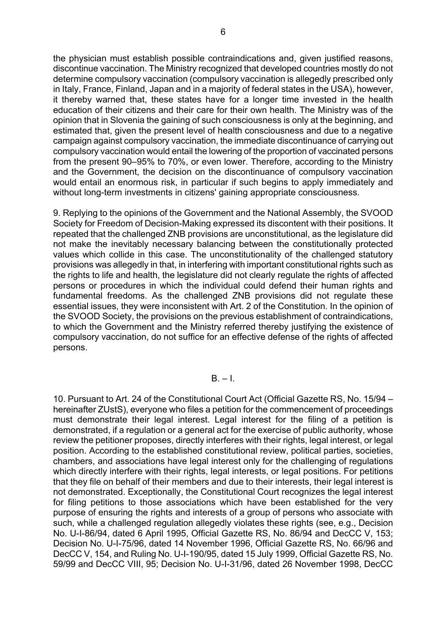the physician must establish possible contraindications and, given justified reasons, discontinue vaccination. The Ministry recognized that developed countries mostly do not determine compulsory vaccination (compulsory vaccination is allegedly prescribed only in Italy, France, Finland, Japan and in a majority of federal states in the USA), however, it thereby warned that, these states have for a longer time invested in the health education of their citizens and their care for their own health. The Ministry was of the opinion that in Slovenia the gaining of such consciousness is only at the beginning, and estimated that, given the present level of health consciousness and due to a negative campaign against compulsory vaccination, the immediate discontinuance of carrying out compulsory vaccination would entail the lowering of the proportion of vaccinated persons from the present 90–95% to 70%, or even lower. Therefore, according to the Ministry and the Government, the decision on the discontinuance of compulsory vaccination would entail an enormous risk, in particular if such begins to apply immediately and without long-term investments in citizens' gaining appropriate consciousness.

9. Replying to the opinions of the Government and the National Assembly, the SVOOD Society for Freedom of Decision-Making expressed its discontent with their positions. It repeated that the challenged ZNB provisions are unconstitutional, as the legislature did not make the inevitably necessary balancing between the constitutionally protected values which collide in this case. The unconstitutionality of the challenged statutory provisions was allegedly in that, in interfering with important constitutional rights such as the rights to life and health, the legislature did not clearly regulate the rights of affected persons or procedures in which the individual could defend their human rights and fundamental freedoms. As the challenged ZNB provisions did not regulate these essential issues, they were inconsistent with Art. 2 of the Constitution. In the opinion of the SVOOD Society, the provisions on the previous establishment of contraindications, to which the Government and the Ministry referred thereby justifying the existence of compulsory vaccination, do not suffice for an effective defense of the rights of affected persons.

 $B - I$ 

10. Pursuant to Art. 24 of the Constitutional Court Act (Official Gazette RS, No. 15/94 – hereinafter ZUstS), everyone who files a petition for the commencement of proceedings must demonstrate their legal interest. Legal interest for the filing of a petition is demonstrated, if a regulation or a general act for the exercise of public authority, whose review the petitioner proposes, directly interferes with their rights, legal interest, or legal position. According to the established constitutional review, political parties, societies, chambers, and associations have legal interest only for the challenging of regulations which directly interfere with their rights, legal interests, or legal positions. For petitions that they file on behalf of their members and due to their interests, their legal interest is not demonstrated. Exceptionally, the Constitutional Court recognizes the legal interest for filing petitions to those associations which have been established for the very purpose of ensuring the rights and interests of a group of persons who associate with such, while a challenged regulation allegedly violates these rights (see, e.g., Decision No. U-I-86/94, dated 6 April 1995, Official Gazette RS, No. 86/94 and DecCC V, 153; Decision No. U-I-75/96, dated 14 November 1996, Official Gazette RS, No. 66/96 and DecCC V, 154, and Ruling No. U-I-190/95, dated 15 July 1999, Official Gazette RS, No. 59/99 and DecCC VIII, 95; Decision No. U-I-31/96, dated 26 November 1998, DecCC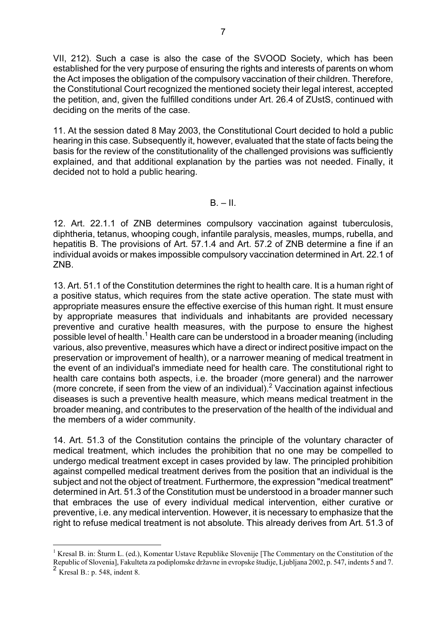VII, 212). Such a case is also the case of the SVOOD Society, which has been established for the very purpose of ensuring the rights and interests of parents on whom the Act imposes the obligation of the compulsory vaccination of their children. Therefore, the Constitutional Court recognized the mentioned society their legal interest, accepted the petition, and, given the fulfilled conditions under Art. 26.4 of ZUstS, continued with deciding on the merits of the case.

11. At the session dated 8 May 2003, the Constitutional Court decided to hold a public hearing in this case. Subsequently it, however, evaluated that the state of facts being the basis for the review of the constitutionality of the challenged provisions was sufficiently explained, and that additional explanation by the parties was not needed. Finally, it decided not to hold a public hearing.

## $B. - II.$

12. Art. 22.1.1 of ZNB determines compulsory vaccination against tuberculosis, diphtheria, tetanus, whooping cough, infantile paralysis, measles, mumps, rubella, and hepatitis B. The provisions of Art. 57.1.4 and Art. 57.2 of ZNB determine a fine if an individual avoids or makes impossible compulsory vaccination determined in Art. 22.1 of ZNB.

13. Art. 51.1 of the Constitution determines the right to health care. It is a human right of a positive status, which requires from the state active operation. The state must with appropriate measures ensure the effective exercise of this human right. It must ensure by appropriate measures that individuals and inhabitants are provided necessary preventive and curative health measures, with the purpose to ensure the highest possible level of health.<sup>[1](#page-6-0)</sup> Health care can be understood in a broader meaning (including various, also preventive, measures which have a direct or indirect positive impact on the preservation or improvement of health), or a narrower meaning of medical treatment in the event of an individual's immediate need for health care. The constitutional right to health care contains both aspects, i.e. the broader (more general) and the narrower (more concrete, if seen from the view of an individual).<sup>[2](#page-6-1)</sup> Vaccination against infectious diseases is such a preventive health measure, which means medical treatment in the broader meaning, and contributes to the preservation of the health of the individual and the members of a wider community.

14. Art. 51.3 of the Constitution contains the principle of the voluntary character of medical treatment, which includes the prohibition that no one may be compelled to undergo medical treatment except in cases provided by law. The principled prohibition against compelled medical treatment derives from the position that an individual is the subject and not the object of treatment. Furthermore, the expression "medical treatment" determined in Art. 51.3 of the Constitution must be understood in a broader manner such that embraces the use of every individual medical intervention, either curative or preventive, i.e. any medical intervention. However, it is necessary to emphasize that the right to refuse medical treatment is not absolute. This already derives from Art. 51.3 of

 $\overline{a}$ 

<span id="page-6-0"></span><sup>&</sup>lt;sup>1</sup> Kresal B. in: Šturm L. (ed.), Komentar Ustave Republike Slovenije [The Commentary on the Constitution of the Republic of Slovenia], Fakulteta za podiplomske državne in evropske študije, Ljubljana 2002, p. 547, indents 5 and 7.

<span id="page-6-1"></span> $2 \text{ Kresal B.: p. 548, indent 8.}$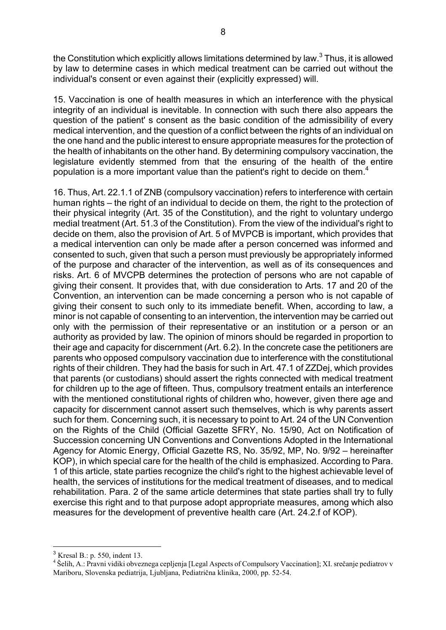the Constitution which explicitly allows limitations determined by law. $^3$  [T](#page-7-0)hus, it is allowed by law to determine cases in which medical treatment can be carried out without the individual's consent or even against their (explicitly expressed) will.

15. Vaccination is one of health measures in which an interference with the physical integrity of an individual is inevitable. In connection with such there also appears the question of the patient' s consent as the basic condition of the admissibility of every medical intervention, and the question of a conflict between the rights of an individual on the one hand and the public interest to ensure appropriate measures for the protection of the health of inhabitants on the other hand. By determining compulsory vaccination, the legislature evidently stemmed from that the ensuring of the health of the entire population is a more important value than the patient's right to decide on them.<sup>[4](#page-7-1)</sup>

16. Thus, Art. 22.1.1 of ZNB (compulsory vaccination) refers to interference with certain human rights – the right of an individual to decide on them, the right to the protection of their physical integrity (Art. 35 of the Constitution), and the right to voluntary undergo medial treatment (Art. 51.3 of the Constitution). From the view of the individual's right to decide on them, also the provision of Art. 5 of MVPCB is important, which provides that a medical intervention can only be made after a person concerned was informed and consented to such, given that such a person must previously be appropriately informed of the purpose and character of the intervention, as well as of its consequences and risks. Art. 6 of MVCPB determines the protection of persons who are not capable of giving their consent. It provides that, with due consideration to Arts. 17 and 20 of the Convention, an intervention can be made concerning a person who is not capable of giving their consent to such only to its immediate benefit. When, according to law, a minor is not capable of consenting to an intervention, the intervention may be carried out only with the permission of their representative or an institution or a person or an authority as provided by law. The opinion of minors should be regarded in proportion to their age and capacity for discernment (Art. 6.2). In the concrete case the petitioners are parents who opposed compulsory vaccination due to interference with the constitutional rights of their children. They had the basis for such in Art. 47.1 of ZZDej, which provides that parents (or custodians) should assert the rights connected with medical treatment for children up to the age of fifteen. Thus, compulsory treatment entails an interference with the mentioned constitutional rights of children who, however, given there age and capacity for discernment cannot assert such themselves, which is why parents assert such for them. Concerning such, it is necessary to point to Art. 24 of the UN Convention on the Rights of the Child (Official Gazette SFRY, No. 15/90, Act on Notification of Succession concerning UN Conventions and Conventions Adopted in the International Agency for Atomic Energy, Official Gazette RS, No. 35/92, MP, No. 9/92 – hereinafter KOP), in which special care for the health of the child is emphasized. According to Para. 1 of this article, state parties recognize the child's right to the highest achievable level of health, the services of institutions for the medical treatment of diseases, and to medical rehabilitation. Para. 2 of the same article determines that state parties shall try to fully exercise this right and to that purpose adopt appropriate measures, among which also measures for the development of preventive health care (Art. 24.2.f of KOP).

<span id="page-7-0"></span><sup>3</sup> Kresal B.: p. 550, indent 13.

<span id="page-7-1"></span><sup>&</sup>lt;sup>4</sup> Šelih, A.: Pravni vidiki obveznega cepljenja [Legal Aspects of Compulsory Vaccination]; XI. srečanje pediatrov v Mariboru, Slovenska pediatrija, Ljubljana, Pediatrična klinika, 2000, pp. 52-54.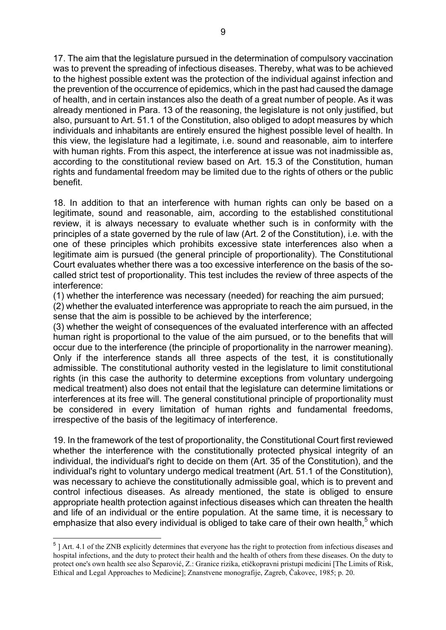17. The aim that the legislature pursued in the determination of compulsory vaccination was to prevent the spreading of infectious diseases. Thereby, what was to be achieved to the highest possible extent was the protection of the individual against infection and the prevention of the occurrence of epidemics, which in the past had caused the damage of health, and in certain instances also the death of a great number of people. As it was already mentioned in Para. 13 of the reasoning, the legislature is not only justified, but also, pursuant to Art. 51.1 of the Constitution, also obliged to adopt measures by which individuals and inhabitants are entirely ensured the highest possible level of health. In this view, the legislature had a legitimate, i.e. sound and reasonable, aim to interfere with human rights. From this aspect, the interference at issue was not inadmissible as, according to the constitutional review based on Art. 15.3 of the Constitution, human rights and fundamental freedom may be limited due to the rights of others or the public benefit.

18. In addition to that an interference with human rights can only be based on a legitimate, sound and reasonable, aim, according to the established constitutional review, it is always necessary to evaluate whether such is in conformity with the principles of a state governed by the rule of law (Art. 2 of the Constitution), i.e. with the one of these principles which prohibits excessive state interferences also when a legitimate aim is pursued (the general principle of proportionality). The Constitutional Court evaluates whether there was a too excessive interference on the basis of the socalled strict test of proportionality. This test includes the review of three aspects of the interference:

(1) whether the interference was necessary (needed) for reaching the aim pursued;

(2) whether the evaluated interference was appropriate to reach the aim pursued, in the sense that the aim is possible to be achieved by the interference;

(3) whether the weight of consequences of the evaluated interference with an affected human right is proportional to the value of the aim pursued, or to the benefits that will occur due to the interference (the principle of proportionality in the narrower meaning). Only if the interference stands all three aspects of the test, it is constitutionally admissible. The constitutional authority vested in the legislature to limit constitutional rights (in this case the authority to determine exceptions from voluntary undergoing medical treatment) also does not entail that the legislature can determine limitations or interferences at its free will. The general constitutional principle of proportionality must be considered in every limitation of human rights and fundamental freedoms, irrespective of the basis of the legitimacy of interference.

19. In the framework of the test of proportionality, the Constitutional Court first reviewed whether the interference with the constitutionally protected physical integrity of an individual, the individual's right to decide on them (Art. 35 of the Constitution), and the individual's right to voluntary undergo medical treatment (Art. 51.1 of the Constitution), was necessary to achieve the constitutionally admissible goal, which is to prevent and control infectious diseases. As already mentioned, the state is obliged to ensure appropriate health protection against infectious diseases which can threaten the health and life of an individual or the entire population. At the same time, it is necessary to emphasize that also every individual is obliged to take care of their own health, $5$  which

 $\overline{a}$ 

<span id="page-8-0"></span><sup>&</sup>lt;sup>5</sup> | Art. 4.1 of the ZNB explicitly determines that everyone has the right to protection from infectious diseases and hospital infections, and the duty to protect their health and the health of others from these diseases. On the duty to protect one's own health see also Šeparović, Z.: Granice rizika, etičkopravni pristupi medicini [The Limits of Risk, Ethical and Legal Approaches to Medicine]; Znanstvene monografije, Zagreb, Čakovec, 1985; p. 20.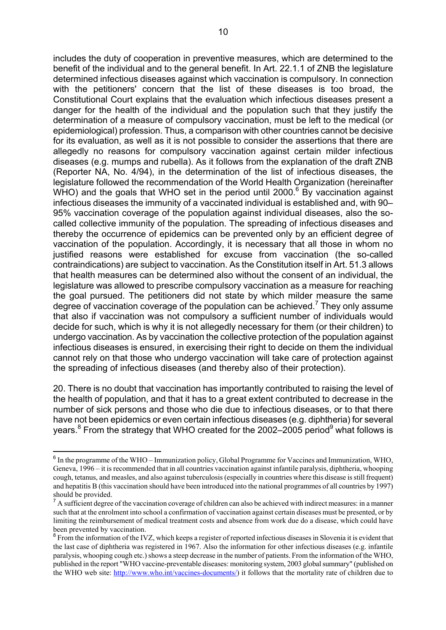includes the duty of cooperation in preventive measures, which are determined to the benefit of the individual and to the general benefit. In Art. 22.1.1 of ZNB the legislature determined infectious diseases against which vaccination is compulsory. In connection with the petitioners' concern that the list of these diseases is too broad, the Constitutional Court explains that the evaluation which infectious diseases present a danger for the health of the individual and the population such that they justify the determination of a measure of compulsory vaccination, must be left to the medical (or epidemiological) profession. Thus, a comparison with other countries cannot be decisive for its evaluation, as well as it is not possible to consider the assertions that there are allegedly no reasons for compulsory vaccination against certain milder infectious diseases (e.g. mumps and rubella). As it follows from the explanation of the draft ZNB (Reporter NA, No. 4/94), in the determination of the list of infectious diseases, the legislature followed the recommendation of the World Health Organization (hereinafter WHO) and the goals that WHO set in the period until 2000. $6$  By vaccination against infectious diseases the immunity of a vaccinated individual is established and, with 90– 95% vaccination coverage of the population against individual diseases, also the socalled collective immunity of the population. The spreading of infectious diseases and thereby the occurrence of epidemics can be prevented only by an efficient degree of vaccination of the population. Accordingly, it is necessary that all those in whom no justified reasons were established for excuse from vaccination (the so-called contraindications) are subject to vaccination. As the Constitution itself in Art. 51.3 allows that health measures can be determined also without the consent of an individual, the legislature was allowed to prescribe compulsory vaccination as a measure for reaching the goal pursued. The petitioners did not state by which milder measure the same degree of vaccination coverage of the population can be achieved.<sup>[7](#page-9-1)</sup> They only assume that also if vaccination was not compulsory a sufficient number of individuals would decide for such, which is why it is not allegedly necessary for them (or their children) to undergo vaccination. As by vaccination the collective protection of the population against infectious diseases is ensured, in exercising their right to decide on them the individual cannot rely on that those who undergo vaccination will take care of protection against the spreading of infectious diseases (and thereby also of their protection).

20. There is no doubt that vaccination has importantly contributed to raising the level of the health of population, and that it has to a great extent contributed to decrease in the number of sick persons and those who die due to infectious diseases, or to that there have not been epidemics or even certain infectious diseases (e.g. diphtheria) for several years.<sup>8</sup>From the strategy that WHO created for the 2002–2005 period<sup>9</sup> what follows is

<span id="page-9-3"></span><span id="page-9-0"></span><sup>6</sup> In the programme of the WHO – Immunization policy, Global Programme for Vaccines and Immunization, WHO, Geneva, 1996 – it is recommended that in all countries vaccination against infantile paralysis, diphtheria, whooping cough, tetanus, and measles, and also against tuberculosis (especially in countries where this disease is still frequent) and hepatitis B (this vaccination should have been introduced into the national programmes of all countries by 1997) should be provided.

<span id="page-9-1"></span><sup>&</sup>lt;sup>7</sup> A sufficient degree of the vaccination coverage of children can also be achieved with indirect measures: in a manner such that at the enrolment into school a confirmation of vaccination against certain diseases must be presented, or by limiting the reimbursement of medical treatment costs and absence from work due do a disease, which could have been prevented by vaccination.

<span id="page-9-2"></span><sup>&</sup>lt;sup>8</sup> From the information of the IVZ, which keeps a register of reported infectious diseases in Slovenia it is evident that the last case of diphtheria was registered in 1967. Also the information for other infectious diseases (e.g. infantile paralysis, whooping cough etc.) shows a steep decrease in the number of patients. From the information of the WHO, published in the report "WHO vaccine-preventable diseases: monitoring system, 2003 global summary" (published on the WHO web site: <http://www.who.int/vaccines-documents/>) it follows that the mortality rate of children due to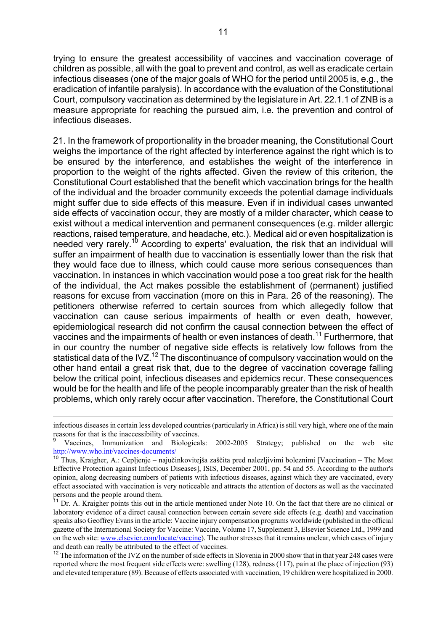trying to ensure the greatest accessibility of vaccines and vaccination coverage of children as possible, all with the goal to prevent and control, as well as eradicate certain infectious diseases (one of the major goals of WHO for the period until 2005 is, e.g., the eradication of infantile paralysis). In accordance with the evaluation of the Constitutional Court, compulsory vaccination as determined by the legislature in Art. 22.1.1 of ZNB is a measure appropriate for reaching the pursued aim, i.e. the prevention and control of infectious diseases.

21. In the framework of proportionality in the broader meaning, the Constitutional Court weighs the importance of the right affected by interference against the right which is to be ensured by the interference, and establishes the weight of the interference in proportion to the weight of the rights affected. Given the review of this criterion, the Constitutional Court established that the benefit which vaccination brings for the health of the individual and the broader community exceeds the potential damage individuals might suffer due to side effects of this measure. Even if in individual cases unwanted side effects of vaccination occur, they are mostly of a milder character, which cease to exist without a medical intervention and permanent consequences (e.g. milder allergic reactions, raised temperature, and headache, etc.). Medical aid or even hospitalization is needed very rarely.<sup>10</sup> According to experts' evaluation, the risk that an individual will suffer an impairment of health due to vaccination is essentially lower than the risk that they would face due to illness, which could cause more serious consequences than vaccination. In instances in which vaccination would pose a too great risk for the health of the individual, the Act makes possible the establishment of (permanent) justified reasons for excuse from vaccination (more on this in Para. 26 of the reasoning). The petitioners otherwise referred to certain sources from which allegedly follow that vaccination can cause serious impairments of health or even death, however, epidemiological research did not confirm the causal connection between the effect of vaccines and the impairments of health or even instances of death.<sup>11</sup> Furthermore, that in our country the number of negative side effects is relatively low follows from the statistical data of the IVZ.<sup>12</sup> The discontinuance of compulsory vaccination would on the other hand entail a great risk that, due to the degree of vaccination coverage falling below the critical point, infectious diseases and epidemics recur. These consequences would be for the health and life of the people incomparably greater than the risk of health problems, which only rarely occur after vaccination. Therefore, the Constitutional Court

infectious diseases in certain less developed countries (particularly in Africa) is still very high, where one of the main reasons for that is the inaccessibility of vaccines.

<sup>9</sup> Vaccines, Immunization and Biologicals: 2002-2005 Strategy; published on the web site <http://www.who.int/vaccines-documents/>

<span id="page-10-0"></span><sup>&</sup>lt;sup>10</sup> Thus, Kraigher, A.: Cepljenje – najučinkovitejša zaščita pred nalezljivimi boleznimi [Vaccination – The Most Effective Protection against Infectious Diseases], ISIS, December 2001, pp. 54 and 55. According to the author's opinion, along decreasing numbers of patients with infectious diseases, against which they are vaccinated, every effect associated with vaccination is very noticeable and attracts the attention of doctors as well as the vaccinated persons and the people around them.

<span id="page-10-1"></span><sup>&</sup>lt;sup>11</sup> Dr. A. Kraigher points this out in the article mentioned under Note 10. On the fact that there are no clinical or laboratory evidence of a direct causal connection between certain severe side effects (e.g. death) and vaccination speaks also Geoffrey Evans in the article: Vaccine injury compensation programs worldwide (published in the official gazette of the International Society for Vaccine: Vaccine, Volume 17, Supplement 3, Elsevier Science Ltd., 1999 and on the web site: [www.elsevier.com/locate/vaccine](http://www.elsevier.com/locate/vaccine)). The author stresses that it remains unclear, which cases of injury and death can really be attributed to the effect of vaccines.

<span id="page-10-2"></span><sup>&</sup>lt;sup>12</sup> The information of the IVZ on the number of side effects in Slovenia in 2000 show that in that year 248 cases were reported where the most frequent side effects were: swelling (128), redness (117), pain at the place of injection (93) and elevated temperature (89). Because of effects associated with vaccination, 19 children were hospitalized in 2000.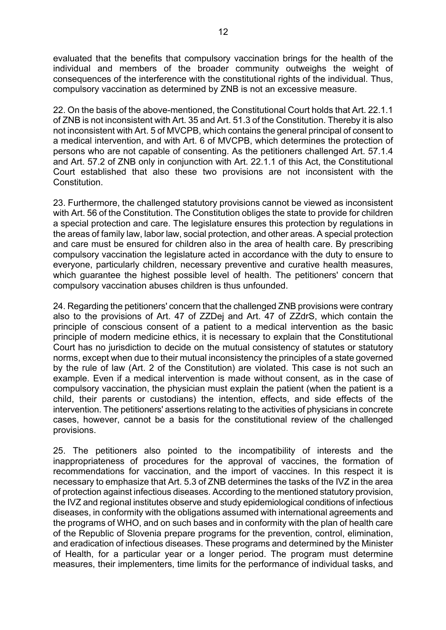evaluated that the benefits that compulsory vaccination brings for the health of the individual and members of the broader community outweighs the weight of consequences of the interference with the constitutional rights of the individual. Thus, compulsory vaccination as determined by ZNB is not an excessive measure.

22. On the basis of the above-mentioned, the Constitutional Court holds that Art. 22.1.1 of ZNB is not inconsistent with Art. 35 and Art. 51.3 of the Constitution. Thereby it is also not inconsistent with Art. 5 of MVCPB, which contains the general principal of consent to a medical intervention, and with Art. 6 of MVCPB, which determines the protection of persons who are not capable of consenting. As the petitioners challenged Art. 57.1.4 and Art. 57.2 of ZNB only in conjunction with Art. 22.1.1 of this Act, the Constitutional Court established that also these two provisions are not inconsistent with the Constitution.

23. Furthermore, the challenged statutory provisions cannot be viewed as inconsistent with Art. 56 of the Constitution. The Constitution obliges the state to provide for children a special protection and care. The legislature ensures this protection by regulations in the areas of family law, labor law, social protection, and other areas. A special protection and care must be ensured for children also in the area of health care. By prescribing compulsory vaccination the legislature acted in accordance with the duty to ensure to everyone, particularly children, necessary preventive and curative health measures, which guarantee the highest possible level of health. The petitioners' concern that compulsory vaccination abuses children is thus unfounded.

24. Regarding the petitioners' concern that the challenged ZNB provisions were contrary also to the provisions of Art. 47 of ZZDej and Art. 47 of ZZdrS, which contain the principle of conscious consent of a patient to a medical intervention as the basic principle of modern medicine ethics, it is necessary to explain that the Constitutional Court has no jurisdiction to decide on the mutual consistency of statutes or statutory norms, except when due to their mutual inconsistency the principles of a state governed by the rule of law (Art. 2 of the Constitution) are violated. This case is not such an example. Even if a medical intervention is made without consent, as in the case of compulsory vaccination, the physician must explain the patient (when the patient is a child, their parents or custodians) the intention, effects, and side effects of the intervention. The petitioners' assertions relating to the activities of physicians in concrete cases, however, cannot be a basis for the constitutional review of the challenged provisions.

25. The petitioners also pointed to the incompatibility of interests and the inappropriateness of procedures for the approval of vaccines, the formation of recommendations for vaccination, and the import of vaccines. In this respect it is necessary to emphasize that Art. 5.3 of ZNB determines the tasks of the IVZ in the area of protection against infectious diseases. According to the mentioned statutory provision, the IVZ and regional institutes observe and study epidemiological conditions of infectious diseases, in conformity with the obligations assumed with international agreements and the programs of WHO, and on such bases and in conformity with the plan of health care of the Republic of Slovenia prepare programs for the prevention, control, elimination, and eradication of infectious diseases. These programs and determined by the Minister of Health, for a particular year or a longer period. The program must determine measures, their implementers, time limits for the performance of individual tasks, and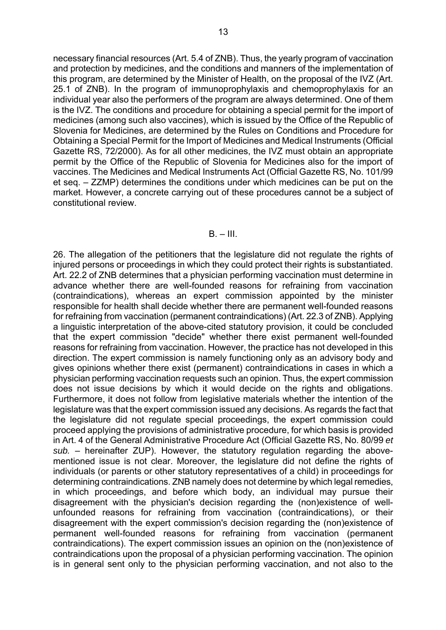necessary financial resources (Art. 5.4 of ZNB). Thus, the yearly program of vaccination and protection by medicines, and the conditions and manners of the implementation of this program, are determined by the Minister of Health, on the proposal of the IVZ (Art. 25.1 of ZNB). In the program of immunoprophylaxis and chemoprophylaxis for an individual year also the performers of the program are always determined. One of them is the IVZ. The conditions and procedure for obtaining a special permit for the import of medicines (among such also vaccines), which is issued by the Office of the Republic of Slovenia for Medicines, are determined by the Rules on Conditions and Procedure for Obtaining a Special Permit for the Import of Medicines and Medical Instruments (Official Gazette RS, 72/2000). As for all other medicines, the IVZ must obtain an appropriate permit by the Office of the Republic of Slovenia for Medicines also for the import of vaccines. The Medicines and Medical Instruments Act (Official Gazette RS, No. 101/99 et seq. – ZZMP) determines the conditions under which medicines can be put on the market. However, a concrete carrying out of these procedures cannot be a subject of constitutional review.

### $B = III$ .

26. The allegation of the petitioners that the legislature did not regulate the rights of injured persons or proceedings in which they could protect their rights is substantiated. Art. 22.2 of ZNB determines that a physician performing vaccination must determine in advance whether there are well-founded reasons for refraining from vaccination (contraindications), whereas an expert commission appointed by the minister responsible for health shall decide whether there are permanent well-founded reasons for refraining from vaccination (permanent contraindications) (Art. 22.3 of ZNB). Applying a linguistic interpretation of the above-cited statutory provision, it could be concluded that the expert commission "decide" whether there exist permanent well-founded reasons for refraining from vaccination. However, the practice has not developed in this direction. The expert commission is namely functioning only as an advisory body and gives opinions whether there exist (permanent) contraindications in cases in which a physician performing vaccination requests such an opinion. Thus, the expert commission does not issue decisions by which it would decide on the rights and obligations. Furthermore, it does not follow from legislative materials whether the intention of the legislature was that the expert commission issued any decisions. As regards the fact that the legislature did not regulate special proceedings, the expert commission could proceed applying the provisions of administrative procedure, for which basis is provided in Art. 4 of the General Administrative Procedure Act (Official Gazette RS, No. 80/99 *et sub.* – hereinafter ZUP). However, the statutory regulation regarding the abovementioned issue is not clear. Moreover, the legislature did not define the rights of individuals (or parents or other statutory representatives of a child) in proceedings for determining contraindications. ZNB namely does not determine by which legal remedies, in which proceedings, and before which body, an individual may pursue their disagreement with the physician's decision regarding the (non)existence of wellunfounded reasons for refraining from vaccination (contraindications), or their disagreement with the expert commission's decision regarding the (non)existence of permanent well-founded reasons for refraining from vaccination (permanent contraindications). The expert commission issues an opinion on the (non)existence of contraindications upon the proposal of a physician performing vaccination. The opinion is in general sent only to the physician performing vaccination, and not also to the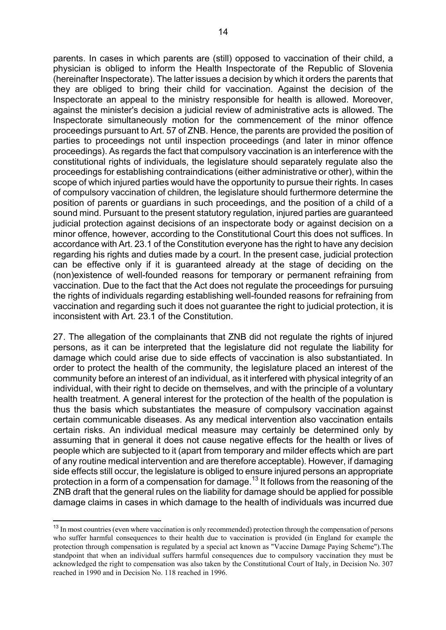parents. In cases in which parents are (still) opposed to vaccination of their child, a physician is obliged to inform the Health Inspectorate of the Republic of Slovenia (hereinafter Inspectorate). The latter issues a decision by which it orders the parents that they are obliged to bring their child for vaccination. Against the decision of the Inspectorate an appeal to the ministry responsible for health is allowed. Moreover, against the minister's decision a judicial review of administrative acts is allowed. The Inspectorate simultaneously motion for the commencement of the minor offence proceedings pursuant to Art. 57 of ZNB. Hence, the parents are provided the position of parties to proceedings not until inspection proceedings (and later in minor offence proceedings). As regards the fact that compulsory vaccination is an interference with the constitutional rights of individuals, the legislature should separately regulate also the proceedings for establishing contraindications (either administrative or other), within the scope of which injured parties would have the opportunity to pursue their rights. In cases of compulsory vaccination of children, the legislature should furthermore determine the position of parents or guardians in such proceedings, and the position of a child of a sound mind. Pursuant to the present statutory regulation, injured parties are guaranteed judicial protection against decisions of an inspectorate body or against decision on a minor offence, however, according to the Constitutional Court this does not suffices. In accordance with Art. 23.1 of the Constitution everyone has the right to have any decision regarding his rights and duties made by a court. In the present case, judicial protection can be effective only if it is guaranteed already at the stage of deciding on the (non)existence of well-founded reasons for temporary or permanent refraining from vaccination. Due to the fact that the Act does not regulate the proceedings for pursuing the rights of individuals regarding establishing well-founded reasons for refraining from vaccination and regarding such it does not guarantee the right to judicial protection, it is inconsistent with Art. 23.1 of the Constitution.

27. The allegation of the complainants that ZNB did not regulate the rights of injured persons, as it can be interpreted that the legislature did not regulate the liability for damage which could arise due to side effects of vaccination is also substantiated. In order to protect the health of the community, the legislature placed an interest of the community before an interest of an individual, as it interfered with physical integrity of an individual, with their right to decide on themselves, and with the principle of a voluntary health treatment. A general interest for the protection of the health of the population is thus the basis which substantiates the measure of compulsory vaccination against certain communicable diseases. As any medical intervention also vaccination entails certain risks. An individual medical measure may certainly be determined only by assuming that in general it does not cause negative effects for the health or lives of people which are subjected to it (apart from temporary and milder effects which are part of any routine medical intervention and are therefore acceptable). However, if damaging side effects still occur, the legislature is obliged to ensure injured persons an appropriate protection in a form of a compensation for damage.[13](#page-13-0) It follows from the reasoning of the ZNB draft that the general rules on the liability for damage should be applied for possible damage claims in cases in which damage to the health of individuals was incurred due

<span id="page-13-0"></span><sup>&</sup>lt;sup>13</sup> In most countries (even where vaccination is only recommended) protection through the compensation of persons who suffer harmful consequences to their health due to vaccination is provided (in England for example the protection through compensation is regulated by a special act known as "Vaccine Damage Paying Scheme").The standpoint that when an individual suffers harmful consequences due to compulsory vaccination they must be acknowledged the right to compensation was also taken by the Constitutional Court of Italy, in Decision No. 307 reached in 1990 and in Decision No. 118 reached in 1996.